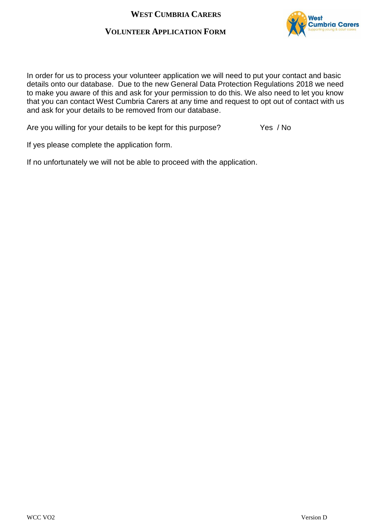# **VOLUNTEER APPLICATION FORM**



In order for us to process your volunteer application we will need to put your contact and basic details onto our database. Due to the new General Data Protection Regulations 2018 we need to make you aware of this and ask for your permission to do this. We also need to let you know that you can contact West Cumbria Carers at any time and request to opt out of contact with us and ask for your details to be removed from our database.

Are you willing for your details to be kept for this purpose? Yes / No

If yes please complete the application form.

If no unfortunately we will not be able to proceed with the application.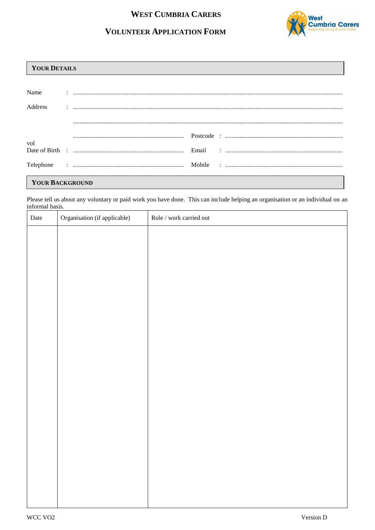## **WEST CUMBRIA CARERS**

# **VOLUNTEER APPLICATION FORM**



### **YOUR DETAILS**

| Name            |  |  |  |  |  |
|-----------------|--|--|--|--|--|
| Address         |  |  |  |  |  |
|                 |  |  |  |  |  |
| vol             |  |  |  |  |  |
|                 |  |  |  |  |  |
|                 |  |  |  |  |  |
| YOUR BACKGROUND |  |  |  |  |  |

Please tell us about any voluntary or paid work you have done. This can include helping an organisation or an individual on an informal basis.

| Date | Organisation (if applicable) | $\operatorname{Role}/\operatorname{work}$ carried out |
|------|------------------------------|-------------------------------------------------------|
|      |                              |                                                       |
|      |                              |                                                       |
|      |                              |                                                       |
|      |                              |                                                       |
|      |                              |                                                       |
|      |                              |                                                       |
|      |                              |                                                       |
|      |                              |                                                       |
|      |                              |                                                       |
|      |                              |                                                       |
|      |                              |                                                       |
|      |                              |                                                       |
|      |                              |                                                       |
|      |                              |                                                       |
|      |                              |                                                       |
|      |                              |                                                       |
|      |                              |                                                       |
|      |                              |                                                       |
|      |                              |                                                       |
|      |                              |                                                       |